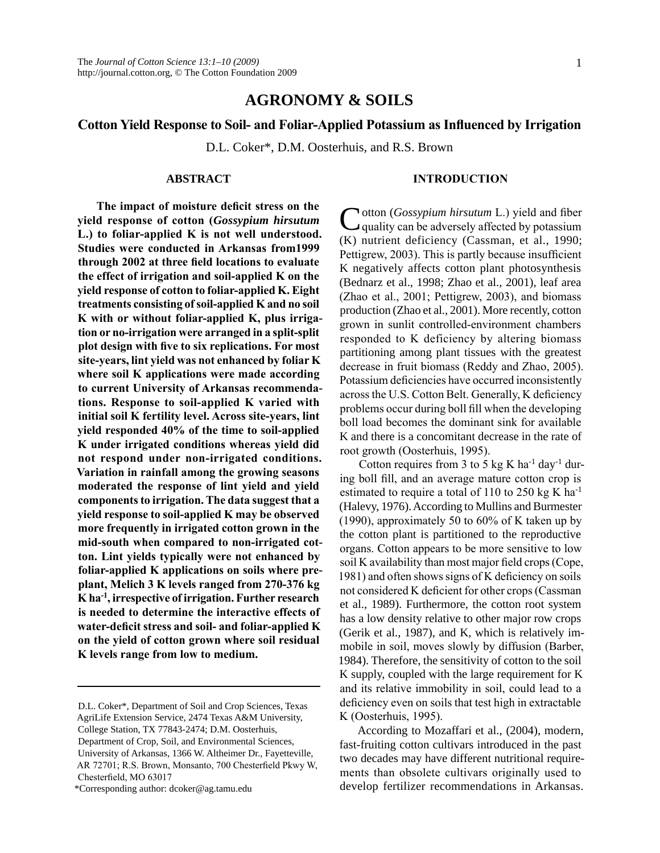# **Agronomy & Soils**

# **Cotton Yield Response to Soil- and Foliar-Applied Potassium as Influenced by Irrigation**

D.L. Coker\*, D.M. Oosterhuis, and R.S. Brown

#### **ABSTRACT**

**The impact of moisture deficit stress on the yield response of cotton (***Gossypium hirsutum* **L.) to foliar-applied K is not well understood. Studies were conducted in Arkansas from1999 through 2002 at three field locations to evaluate the effect of irrigation and soil-applied K on the yield response of cotton to foliar-applied K. Eight treatments consisting of soil-applied K and no soil K with or without foliar-applied K, plus irrigation or no-irrigation were arranged in a split-split plot design with five to six replications. For most site-years, lint yield was not enhanced by foliar K where soil K applications were made according to current University of Arkansas recommendations. Response to soil-applied K varied with initial soil K fertility level. Across site-years, lint yield responded 40% of the time to soil-applied K under irrigated conditions whereas yield did not respond under non-irrigated conditions. Variation in rainfall among the growing seasons moderated the response of lint yield and yield components to irrigation. The data suggest that a yield response to soil-applied K may be observed more frequently in irrigated cotton grown in the mid-south when compared to non-irrigated cotton. Lint yields typically were not enhanced by foliar-applied K applications on soils where preplant, Melich 3 K levels ranged from 270-376 kg K ha-1, irrespective of irrigation. Further research is needed to determine the interactive effects of water-deficit stress and soil- and foliar-applied K on the yield of cotton grown where soil residual K levels range from low to medium.**

\*Corresponding author: dcoker@ag.tamu.edu

Cotton (*Gossypium hirsutum* L.) yield and fiber quality can be adversely affected by potassium (K) nutrient deficiency (Cassman, et al., 1990; Pettigrew, 2003). This is partly because insufficient K negatively affects cotton plant photosynthesis (Bednarz et al., 1998; Zhao et al., 2001), leaf area (Zhao et al., 2001; Pettigrew, 2003), and biomass production (Zhao et al., 2001). More recently, cotton grown in sunlit controlled-environment chambers responded to K deficiency by altering biomass partitioning among plant tissues with the greatest decrease in fruit biomass (Reddy and Zhao, 2005). Potassium deficiencies have occurred inconsistently across the U.S. Cotton Belt. Generally, K deficiency problems occur during boll fill when the developing boll load becomes the dominant sink for available K and there is a concomitant decrease in the rate of root growth (Oosterhuis, 1995).

**INTRODUCTION**

Cotton requires from 3 to 5 kg K ha<sup>-1</sup> day<sup>-1</sup> during boll fill, and an average mature cotton crop is estimated to require a total of 110 to 250 kg K ha<sup>-1</sup> (Halevy, 1976). According to Mullins and Burmester (1990), approximately 50 to 60% of K taken up by the cotton plant is partitioned to the reproductive organs. Cotton appears to be more sensitive to low soil K availability than most major field crops (Cope, 1981) and often shows signs of K deficiency on soils not considered K deficient for other crops (Cassman et al., 1989). Furthermore, the cotton root system has a low density relative to other major row crops (Gerik et al., 1987), and K, which is relatively immobile in soil, moves slowly by diffusion (Barber, 1984). Therefore, the sensitivity of cotton to the soil K supply, coupled with the large requirement for K and its relative immobility in soil, could lead to a deficiency even on soils that test high in extractable K (Oosterhuis, 1995).

According to Mozaffari et al., (2004), modern, fast-fruiting cotton cultivars introduced in the past two decades may have different nutritional requirements than obsolete cultivars originally used to develop fertilizer recommendations in Arkansas.

D.L. Coker\*, Department of Soil and Crop Sciences, Texas AgriLife Extension Service, 2474 Texas A&M University, College Station, TX 77843-2474; D.M. Oosterhuis, Department of Crop, Soil, and Environmental Sciences, University of Arkansas, 1366 W. Altheimer Dr., Fayetteville, AR 72701; R.S. Brown, Monsanto, 700 Chesterfield Pkwy W, Chesterfield, MO 63017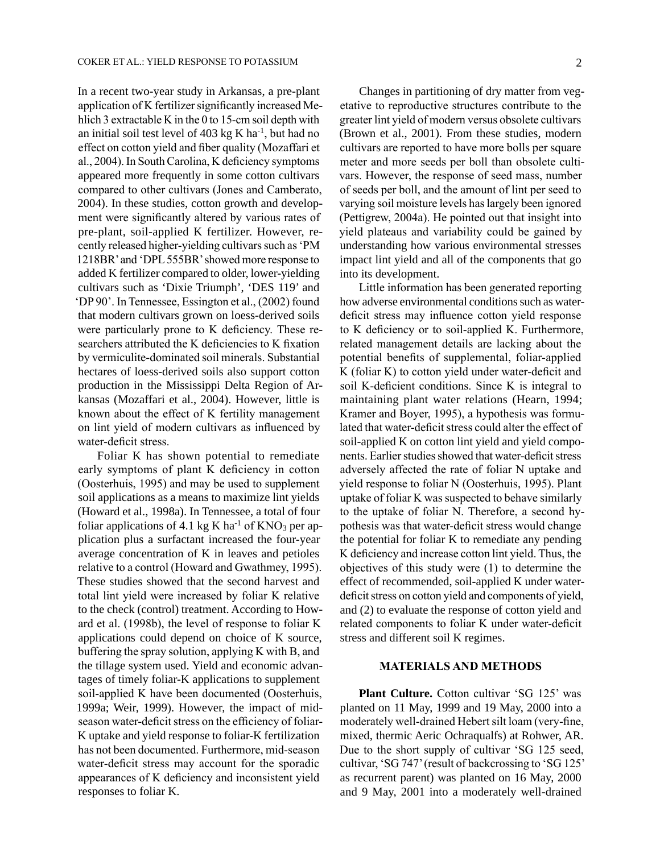In a recent two-year study in Arkansas, a pre-plant application of K fertilizer significantly increased Mehlich 3 extractable K in the 0 to 15-cm soil depth with an initial soil test level of  $403$  kg K ha<sup>-1</sup>, but had no effect on cotton yield and fiber quality (Mozaffari et al., 2004). In South Carolina, K deficiency symptoms appeared more frequently in some cotton cultivars compared to other cultivars (Jones and Camberato, 2004). In these studies, cotton growth and development were significantly altered by various rates of pre-plant, soil-applied K fertilizer. However, recently released higher-yielding cultivars such as 'PM 1218BR' and 'DPL 555BR' showed more response to added K fertilizer compared to older, lower-yielding cultivars such as 'Dixie Triumph', 'DES 119' and 'DP 90'. In Tennessee, Essington et al., (2002) found that modern cultivars grown on loess-derived soils were particularly prone to K deficiency. These researchers attributed the K deficiencies to K fixation by vermiculite-dominated soil minerals. Substantial hectares of loess-derived soils also support cotton production in the Mississippi Delta Region of Arkansas (Mozaffari et al., 2004). However, little is known about the effect of K fertility management on lint yield of modern cultivars as influenced by water-deficit stress.

Foliar K has shown potential to remediate early symptoms of plant K deficiency in cotton (Oosterhuis, 1995) and may be used to supplement soil applications as a means to maximize lint yields (Howard et al., 1998a). In Tennessee, a total of four foliar applications of 4.1 kg K ha<sup>-1</sup> of KNO<sub>3</sub> per application plus a surfactant increased the four-year average concentration of K in leaves and petioles relative to a control (Howard and Gwathmey, 1995). These studies showed that the second harvest and total lint yield were increased by foliar K relative to the check (control) treatment. According to Howard et al. (1998b), the level of response to foliar K applications could depend on choice of K source, buffering the spray solution, applying K with B, and the tillage system used. Yield and economic advantages of timely foliar-K applications to supplement soil-applied K have been documented (Oosterhuis, 1999a; Weir, 1999). However, the impact of midseason water-deficit stress on the efficiency of foliar-K uptake and yield response to foliar-K fertilization has not been documented. Furthermore, mid-season water-deficit stress may account for the sporadic appearances of K deficiency and inconsistent yield responses to foliar K.

Changes in partitioning of dry matter from vegetative to reproductive structures contribute to the greater lint yield of modern versus obsolete cultivars (Brown et al., 2001). From these studies, modern cultivars are reported to have more bolls per square meter and more seeds per boll than obsolete cultivars. However, the response of seed mass, number of seeds per boll, and the amount of lint per seed to varying soil moisture levels has largely been ignored (Pettigrew, 2004a). He pointed out that insight into yield plateaus and variability could be gained by understanding how various environmental stresses impact lint yield and all of the components that go into its development.

Little information has been generated reporting how adverse environmental conditions such as waterdeficit stress may influence cotton yield response to K deficiency or to soil-applied K. Furthermore, related management details are lacking about the potential benefits of supplemental, foliar-applied K (foliar K) to cotton yield under water-deficit and soil K-deficient conditions. Since K is integral to maintaining plant water relations (Hearn, 1994; Kramer and Boyer, 1995), a hypothesis was formulated that water-deficit stress could alter the effect of soil-applied K on cotton lint yield and yield components. Earlier studies showed that water-deficit stress adversely affected the rate of foliar N uptake and yield response to foliar N (Oosterhuis, 1995). Plant uptake of foliar K was suspected to behave similarly to the uptake of foliar N. Therefore, a second hypothesis was that water-deficit stress would change the potential for foliar K to remediate any pending K deficiency and increase cotton lint yield. Thus, the objectives of this study were (1) to determine the effect of recommended, soil-applied K under waterdeficit stress on cotton yield and components of yield, and (2) to evaluate the response of cotton yield and related components to foliar K under water-deficit stress and different soil K regimes.

### **MATERIALS AND METHODS**

**Plant Culture.** Cotton cultivar 'SG 125' was planted on 11 May, 1999 and 19 May, 2000 into a moderately well-drained Hebert silt loam (very-fine, mixed, thermic Aeric Ochraqualfs) at Rohwer, AR. Due to the short supply of cultivar 'SG 125 seed, cultivar, 'SG 747' (result of backcrossing to 'SG 125' as recurrent parent) was planted on 16 May, 2000 and 9 May, 2001 into a moderately well-drained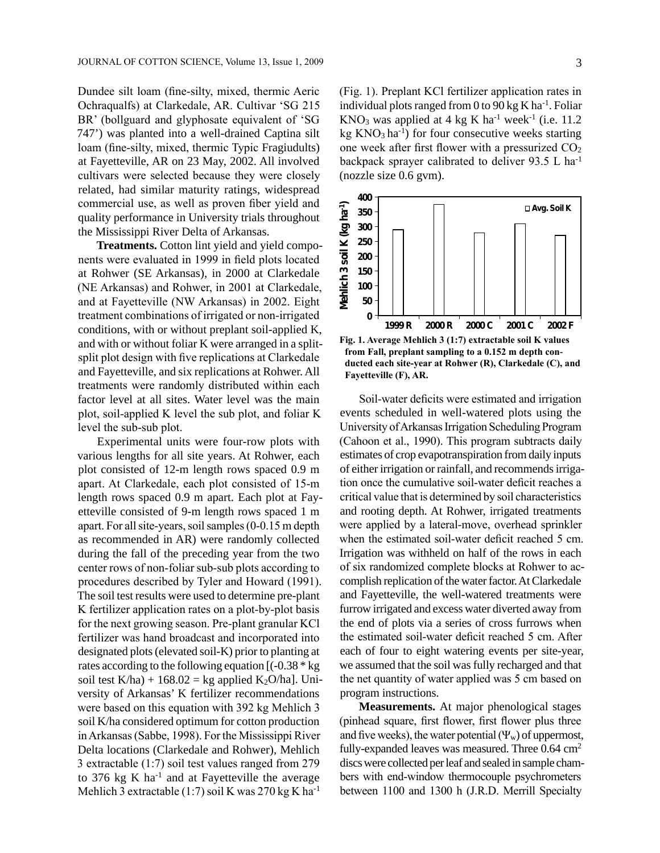Dundee silt loam (fine-silty, mixed, thermic Aeric Ochraqualfs) at Clarkedale, AR. Cultivar 'SG 215 BR' (bollguard and glyphosate equivalent of 'SG 747') was planted into a well-drained Captina silt loam (fine-silty, mixed, thermic Typic Fragiudults) at Fayetteville, AR on 23 May, 2002. All involved cultivars were selected because they were closely related, had similar maturity ratings, widespread commercial use, as well as proven fiber yield and quality performance in University trials throughout the Mississippi River Delta of Arkansas.

**Treatments.** Cotton lint yield and yield components were evaluated in 1999 in field plots located at Rohwer (SE Arkansas), in 2000 at Clarkedale (NE Arkansas) and Rohwer, in 2001 at Clarkedale, and at Fayetteville (NW Arkansas) in 2002. Eight treatment combinations of irrigated or non-irrigated conditions, with or without preplant soil-applied K, and with or without foliar K were arranged in a splitsplit plot design with five replications at Clarkedale and Fayetteville, and six replications at Rohwer. All treatments were randomly distributed within each factor level at all sites. Water level was the main plot, soil-applied K level the sub plot, and foliar K level the sub-sub plot.

Experimental units were four-row plots with various lengths for all site years. At Rohwer, each plot consisted of 12-m length rows spaced 0.9 m apart. At Clarkedale, each plot consisted of 15-m length rows spaced 0.9 m apart. Each plot at Fayetteville consisted of 9-m length rows spaced 1 m apart. For all site-years, soil samples (0-0.15 m depth as recommended in AR) were randomly collected during the fall of the preceding year from the two center rows of non-foliar sub-sub plots according to procedures described by Tyler and Howard (1991). The soil test results were used to determine pre-plant K fertilizer application rates on a plot-by-plot basis for the next growing season. Pre-plant granular KCl fertilizer was hand broadcast and incorporated into designated plots (elevated soil-K) prior to planting at rates according to the following equation [(-0.38 \* kg soil test K/ha) +  $168.02 =$  kg applied K<sub>2</sub>O/ha]. University of Arkansas' K fertilizer recommendations were based on this equation with 392 kg Mehlich 3 soil K/ha considered optimum for cotton production in Arkansas (Sabbe, 1998). For the Mississippi River Delta locations (Clarkedale and Rohwer), Mehlich 3 extractable (1:7) soil test values ranged from 279 to 376 kg K  $ha^{-1}$  and at Fayetteville the average Mehlich 3 extractable (1:7) soil K was  $270 \text{ kg K}$  ha<sup>-1</sup>

(Fig. 1). Preplant KCl fertilizer application rates in individual plots ranged from 0 to 90 kg K ha<sup>-1</sup>. Foliar  $KNO<sub>3</sub>$  was applied at 4 kg K ha<sup>-1</sup> week<sup>-1</sup> (i.e. 11.2) kg  $KNO<sub>3</sub>$  ha<sup>-1</sup>) for four consecutive weeks starting one week after first flower with a pressurized  $CO<sub>2</sub>$ backpack sprayer calibrated to deliver 93.5 L ha-1 (nozzle size 0.6 gvm).



**from Fall, preplant sampling to a 0.152 m depth conducted each site-year at Rohwer (R), Clarkedale (C), and Fayetteville (F), AR.**

Soil-water deficits were estimated and irrigation events scheduled in well-watered plots using the University of Arkansas Irrigation Scheduling Program (Cahoon et al., 1990). This program subtracts daily estimates of crop evapotranspiration from daily inputs of either irrigation or rainfall, and recommends irrigation once the cumulative soil-water deficit reaches a critical value that is determined by soil characteristics and rooting depth. At Rohwer, irrigated treatments were applied by a lateral-move, overhead sprinkler when the estimated soil-water deficit reached 5 cm. Irrigation was withheld on half of the rows in each of six randomized complete blocks at Rohwer to accomplish replication of the water factor. At Clarkedale and Fayetteville, the well-watered treatments were furrow irrigated and excess water diverted away from the end of plots via a series of cross furrows when the estimated soil-water deficit reached 5 cm. After each of four to eight watering events per site-year, we assumed that the soil was fully recharged and that the net quantity of water applied was 5 cm based on program instructions.

**Measurements.** At major phenological stages (pinhead square, first flower, first flower plus three and five weeks), the water potential  $(\Psi_w)$  of uppermost, fully-expanded leaves was measured. Three  $0.64 \text{ cm}^2$ discs were collected per leaf and sealed in sample chambers with end-window thermocouple psychrometers between 1100 and 1300 h (J.R.D. Merrill Specialty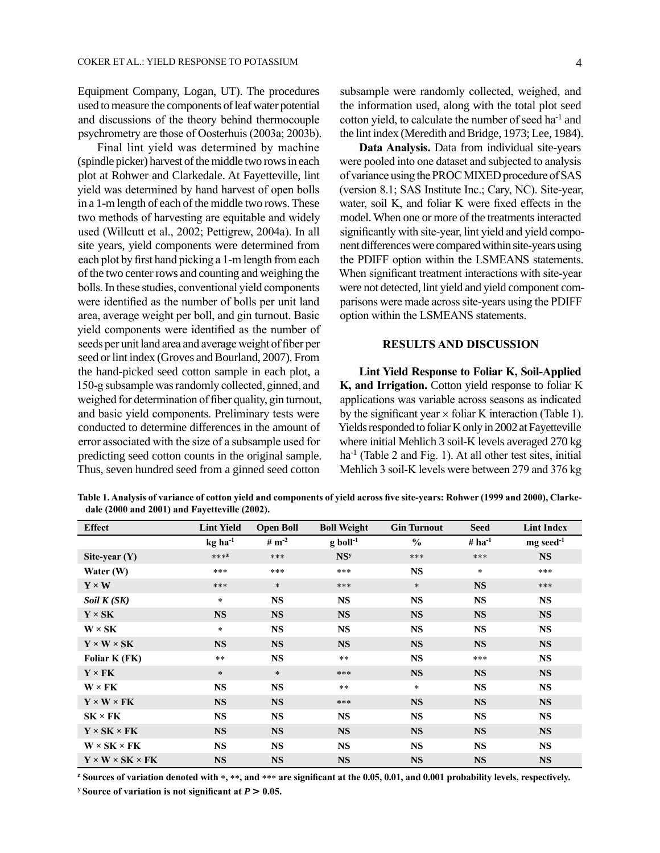Equipment Company, Logan, UT). The procedures used to measure the components of leaf water potential and discussions of the theory behind thermocouple psychrometry are those of Oosterhuis (2003a; 2003b).

Final lint yield was determined by machine (spindle picker) harvest of the middle two rows in each plot at Rohwer and Clarkedale. At Fayetteville, lint yield was determined by hand harvest of open bolls in a 1-m length of each of the middle two rows. These two methods of harvesting are equitable and widely used (Willcutt et al., 2002; Pettigrew, 2004a). In all site years, yield components were determined from each plot by first hand picking a 1-m length from each of the two center rows and counting and weighing the bolls. In these studies, conventional yield components were identified as the number of bolls per unit land area, average weight per boll, and gin turnout. Basic yield components were identified as the number of seeds per unit land area and average weight of fiber per seed or lint index (Groves and Bourland, 2007). From the hand-picked seed cotton sample in each plot, a 150-g subsample was randomly collected, ginned, and weighed for determination of fiber quality, gin turnout, and basic yield components. Preliminary tests were conducted to determine differences in the amount of error associated with the size of a subsample used for predicting seed cotton counts in the original sample. Thus, seven hundred seed from a ginned seed cotton

subsample were randomly collected, weighed, and the information used, along with the total plot seed cotton yield, to calculate the number of seed ha-1 and the lint index (Meredith and Bridge, 1973; Lee, 1984).

**Data Analysis.** Data from individual site-years were pooled into one dataset and subjected to analysis of variance using the PROC MIXED procedure of SAS (version 8.1; SAS Institute Inc.; Cary, NC). Site-year, water, soil K, and foliar K were fixed effects in the model. When one or more of the treatments interacted significantly with site-year, lint yield and yield component differences were compared within site-years using the PDIFF option within the LSMEANS statements. When significant treatment interactions with site-year were not detected, lint yield and yield component comparisons were made across site-years using the PDIFF option within the LSMEANS statements.

#### **RESULTS AND DISCUSSION**

**Lint Yield Response to Foliar K, Soil-Applied K, and Irrigation.** Cotton yield response to foliar K applications was variable across seasons as indicated by the significant year  $\times$  foliar K interaction (Table 1). Yields responded to foliar K only in 2002 at Fayetteville where initial Mehlich 3 soil-K levels averaged 270 kg ha<sup>-1</sup> (Table 2 and Fig. 1). At all other test sites, initial Mehlich 3 soil-K levels were between 279 and 376 kg

**Table 1. Analysis of variance of cotton yield and components of yield across five site-years: Rohwer (1999 and 2000), Clarkedale (2000 and 2001) and Fayetteville (2002).**

| <b>Effect</b>                    | <b>Lint Yield</b>     | <b>Open Boll</b>             | <b>Boll Weight</b>     | <b>Gin Turnout</b> | <b>Seed</b> | <b>Lint Index</b>       |
|----------------------------------|-----------------------|------------------------------|------------------------|--------------------|-------------|-------------------------|
|                                  | $kg$ ha <sup>-1</sup> | # $\mathbf{m}$ <sup>-2</sup> | $g$ boll <sup>-1</sup> | $\frac{0}{0}$      | # $ha^{-1}$ | $mg$ seed <sup>-1</sup> |
| Site-year $(Y)$                  | $***^{\mathbb{Z}}$    | ***                          | NS <sup>y</sup>        | ***                | ***         | <b>NS</b>               |
| Water (W)                        | ***                   | ***                          | ***                    | <b>NS</b>          | $\star$     | ***                     |
| $Y \times W$                     | ***                   | $*$                          | ***                    | $\ast$             | <b>NS</b>   | ***                     |
| Soil $K(SK)$                     | $\ast$                | <b>NS</b>                    | <b>NS</b>              | <b>NS</b>          | <b>NS</b>   | <b>NS</b>               |
| $Y \times SK$                    | <b>NS</b>             | <b>NS</b>                    | <b>NS</b>              | <b>NS</b>          | <b>NS</b>   | <b>NS</b>               |
| $W \times SK$                    | $\ast$                | <b>NS</b>                    | <b>NS</b>              | <b>NS</b>          | <b>NS</b>   | <b>NS</b>               |
| $Y \times W \times SK$           | <b>NS</b>             | <b>NS</b>                    | <b>NS</b>              | <b>NS</b>          | <b>NS</b>   | <b>NS</b>               |
| Foliar K (FK)                    | $* *$                 | <b>NS</b>                    | $* *$                  | <b>NS</b>          | ***         | <b>NS</b>               |
| $Y \times FK$                    | $\ast$                | $\ast$                       | ***                    | <b>NS</b>          | <b>NS</b>   | <b>NS</b>               |
| $W \times FK$                    | <b>NS</b>             | <b>NS</b>                    | $* *$                  | $\ast$             | <b>NS</b>   | <b>NS</b>               |
| $Y \times W \times FK$           | <b>NS</b>             | <b>NS</b>                    | ***                    | <b>NS</b>          | <b>NS</b>   | <b>NS</b>               |
| $SK \times FK$                   | <b>NS</b>             | <b>NS</b>                    | <b>NS</b>              | <b>NS</b>          | <b>NS</b>   | <b>NS</b>               |
| $Y \times SK \times FK$          | <b>NS</b>             | <b>NS</b>                    | <b>NS</b>              | <b>NS</b>          | <b>NS</b>   | <b>NS</b>               |
| $W \times SK \times FK$          | <b>NS</b>             | <b>NS</b>                    | <b>NS</b>              | <b>NS</b>          | <b>NS</b>   | <b>NS</b>               |
| $Y \times W \times SK \times FK$ | <b>NS</b>             | <b>NS</b>                    | <b>NS</b>              | <b>NS</b>          | <b>NS</b>   | <b>NS</b>               |

**<sup>z</sup> Sources of variation denoted with** \***,** \*\***, and** \*\*\* **are significant at the 0.05, 0.01, and 0.001 probability levels, respectively.**

*y* **Source of variation is not significant at**  $P > 0.05$ **.**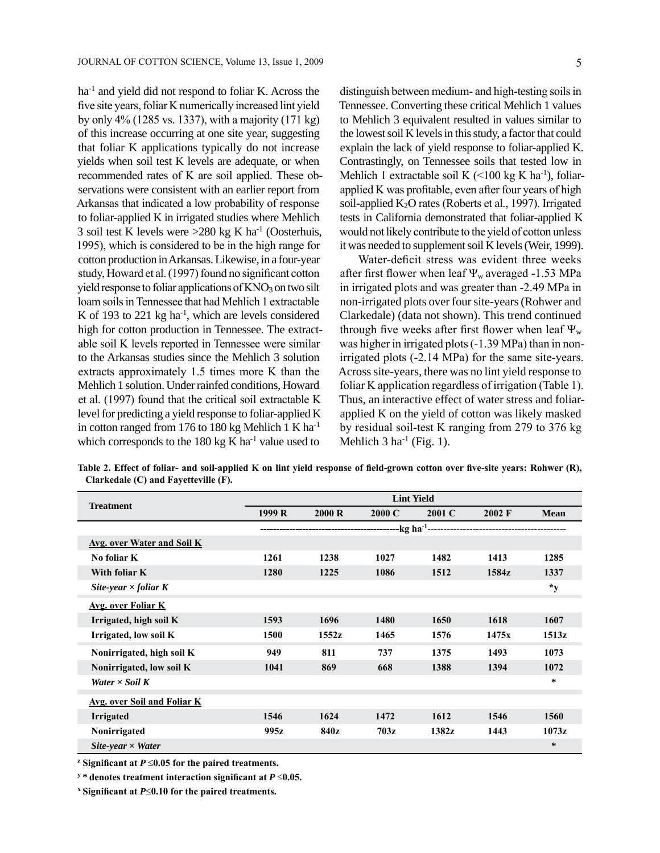ha<sup>-1</sup> and yield did not respond to foliar K. Across the five site years, foliar K numerically increased lint yield by only 4% (1285 vs. 1337), with a majority (171 kg) of this increase occurring at one site year, suggesting that foliar K applications typically do not increase yields when soil test K levels are adequate, or when recommended rates of K are soil applied. These observations were consistent with an earlier report from Arkansas that indicated a low probability of response to foliar-applied K in irrigated studies where Mehlich 3 soil test K levels were  $>280$  kg K ha<sup>-1</sup> (Oosterhuis, 1995), which is considered to be in the high range for cotton production in Arkansas. Likewise, in a four-year study, Howard et al. (1997) found no significant cotton yield response to foliar applications of  $KNO_3$  on two silt loam soils in Tennessee that had Mehlich 1 extractable K of 193 to 221 kg ha<sup>-1</sup>, which are levels considered high for cotton production in Tennessee. The extractable soil K levels reported in Tennessee were similar to the Arkansas studies since the Mehlich 3 solution extracts approximately 1.5 times more K than the Mehlich 1 solution. Under rainfed conditions, Howard et al. (1997) found that the critical soil extractable K level for predicting a yield response to foliar-applied K in cotton ranged from 176 to 180 kg Mehlich 1 K ha-1 which corresponds to the 180 kg K ha $^{-1}$  value used to

distinguish between medium- and high-testing soils in Tennessee. Converting these critical Mehlich 1 values to Mehlich 3 equivalent resulted in values similar to the lowest soil K levels in this study, a factor that could explain the lack of yield response to foliar-applied K. Contrastingly, on Tennessee soils that tested low in Mehlich 1 extractable soil K  $($  < 100 kg K ha<sup>-1</sup>), foliarapplied K was profitable, even after four years of high soil-applied K<sub>2</sub>O rates (Roberts et al., 1997). Irrigated tests in California demonstrated that foliar-applied K would not likely contribute to the yield of cotton unless it was needed to supplement soil K levels (Weir, 1999).

Water-deficit stress was evident three weeks after first flower when leaf  $\Psi_w$  averaged -1.53 MPa in irrigated plots and was greater than -2.49 MPa in non-irrigated plots over four site-years (Rohwer and Clarkedale) (data not shown). This trend continued through five weeks after first flower when leaf  $\Psi_{w}$ was higher in irrigated plots (-1.39 MPa) than in nonirrigated plots (-2.14 MPa) for the same site-years. Across site-years, there was no lint yield response to foliar K application regardless of irrigation (Table 1). Thus, an interactive effect of water stress and foliarapplied K on the yield of cotton was likely masked by residual soil-test K ranging from 279 to 376 kg Mehlich  $3$  ha<sup>-1</sup> (Fig. 1).

**Table 2. Effect of foliar- and soil-applied K on lint yield response of field-grown cotton over five-site years: Rohwer (R), Clarkedale (C) and Fayetteville (F).**

| <b>Treatment</b>                   | <b>Lint Yield</b> |        |        |        |                  |             |
|------------------------------------|-------------------|--------|--------|--------|------------------|-------------|
|                                    | 1999 R            | 2000 R | 2000 C | 2001 C | $2002 \text{ F}$ | <b>Mean</b> |
|                                    |                   |        |        |        |                  |             |
| <b>Avg. over Water and Soil K</b>  |                   |        |        |        |                  |             |
| No foliar K                        | 1261              | 1238   | 1027   | 1482   | 1413             | 1285        |
| With foliar K                      | 1280              | 1225   | 1086   | 1512   | 1584z            | 1337        |
| Site-year $\times$ foliar K        |                   |        |        |        |                  | $*_{y}$     |
| <b>Avg. over Foliar K</b>          |                   |        |        |        |                  |             |
| Irrigated, high soil K             | 1593              | 1696   | 1480   | 1650   | 1618             | 1607        |
| Irrigated, low soil K              | 1500              | 1552z  | 1465   | 1576   | 1475x            | 1513z       |
| Nonirrigated, high soil K          | 949               | 811    | 737    | 1375   | 1493             | 1073        |
| Nonirrigated, low soil K           | 1041              | 869    | 668    | 1388   | 1394             | 1072        |
| Water $\times$ Soil K              |                   |        |        |        |                  | *           |
| <b>Avg. over Soil and Foliar K</b> |                   |        |        |        |                  |             |
| Irrigated                          | 1546              | 1624   | 1472   | 1612   | 1546             | 1560        |
| Nonirrigated                       | 995z              | 840z   | 703z   | 1382z  | 1443             | 1073z       |
| Site-year $\times$ Water           |                   |        |        |        |                  | *           |

**<sup>z</sup> Significant at** *P* ≤**0.05 for the paired treatments.**

**<sup>y</sup> \* denotes treatment interaction significant at** *P* ≤**0.05.**

**<sup>x</sup> Significant at** *P*≤**0.10 for the paired treatments.**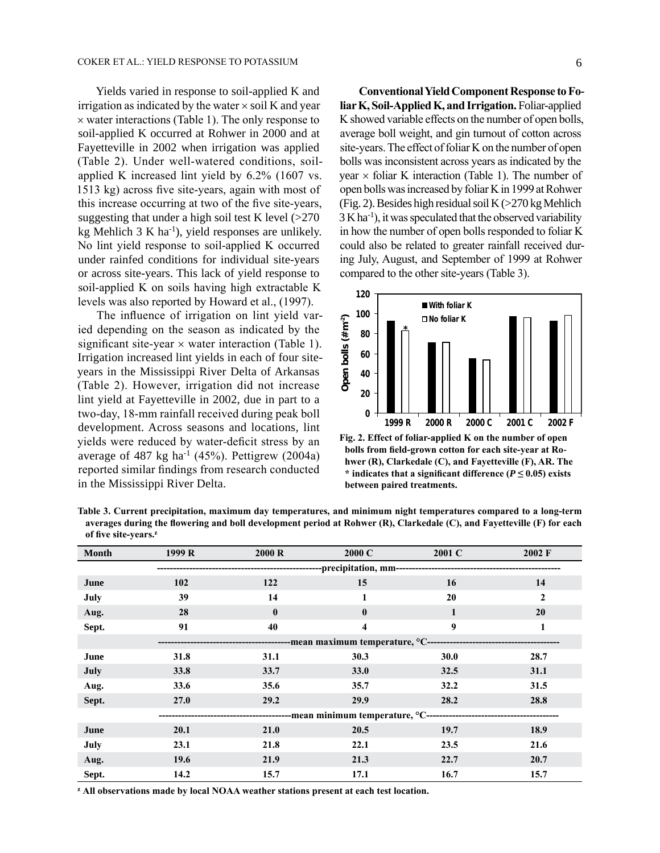Yields varied in response to soil-applied K and irrigation as indicated by the water  $\times$  soil K and year  $\times$  water interactions (Table 1). The only response to soil-applied K occurred at Rohwer in 2000 and at Fayetteville in 2002 when irrigation was applied (Table 2). Under well-watered conditions, soilapplied K increased lint yield by 6.2% (1607 vs. 1513 kg) across five site-years, again with most of this increase occurring at two of the five site-years, suggesting that under a high soil test K level  $(>270$ kg Mehlich  $3$  K ha<sup>-1</sup>), yield responses are unlikely. No lint yield response to soil-applied K occurred under rainfed conditions for individual site-years or across site-years. This lack of yield response to soil-applied K on soils having high extractable K levels was also reported by Howard et al., (1997).

The influence of irrigation on lint yield varied depending on the season as indicated by the significant site-year  $\times$  water interaction (Table 1). Irrigation increased lint yields in each of four siteyears in the Mississippi River Delta of Arkansas (Table 2). However, irrigation did not increase lint yield at Fayetteville in 2002, due in part to a two-day, 18-mm rainfall received during peak boll development. Across seasons and locations, lint yields were reduced by water-deficit stress by an average of 487 kg ha<sup>-1</sup> (45%). Pettigrew (2004a) reported similar findings from research conducted in the Mississippi River Delta.

**Conventional Yield Component Response to Foliar K, Soil-Applied K, and Irrigation.** Foliar-applied K showed variable effects on the number of open bolls, average boll weight, and gin turnout of cotton across site-years. The effect of foliar K on the number of open bolls was inconsistent across years as indicated by the year  $\times$  foliar K interaction (Table 1). The number of open bolls was increased by foliar K in 1999 at Rohwer (Fig. 2). Besides high residual soil K (>270 kg Mehlich  $3$  K ha<sup>-1</sup>), it was speculated that the observed variability in how the number of open bolls responded to foliar K could also be related to greater rainfall received during July, August, and September of 1999 at Rohwer compared to the other site-years (Table 3).



**Fig. 2. Effect of foliar-applied K on the number of open bolls from field-grown cotton for each site-year at Rohwer (R), Clarkedale (C), and Fayetteville (F), AR. The**  \* indicates that a significant difference ( $P \le 0.05$ ) exists **between paired treatments.**

**Table 3. Current precipitation, maximum day temperatures, and minimum night temperatures compared to a long-term averages during the flowering and boll development period at Rohwer (R), Clarkedale (C), and Fayetteville (F) for each of five site-years.<sup>z</sup>**

| <b>Month</b> | 1999 R      | 2000 R                                                            | 2000 C                  | 2001 C | 2002 F |  |  |  |
|--------------|-------------|-------------------------------------------------------------------|-------------------------|--------|--------|--|--|--|
|              |             | -----------precipitation, mm----------------------                |                         |        |        |  |  |  |
| June         | 102         | 122                                                               | 15                      | 16     | 14     |  |  |  |
| July         | 39          | 14                                                                | 1                       | 20     | 2      |  |  |  |
| Aug.         | 28          | $\boldsymbol{0}$                                                  | $\bf{0}$                | 1      | 20     |  |  |  |
| Sept.        | 91          | 40                                                                | $\overline{\mathbf{4}}$ | 9      | 1      |  |  |  |
|              |             | ----------mean maximum temperature, °C--------------------        |                         |        |        |  |  |  |
| June         | 31.8        | 31.1                                                              | 30.3                    | 30.0   | 28.7   |  |  |  |
| July         | 33.8        | 33.7                                                              | <b>33.0</b>             | 32.5   | 31.1   |  |  |  |
| Aug.         | 33.6        | 35.6                                                              | 35.7                    | 32.2   | 31.5   |  |  |  |
| Sept.        | <b>27.0</b> | 29.2                                                              | 29.9                    | 28.2   | 28.8   |  |  |  |
|              |             | -------------------------mean minimum temperature, °C------------ |                         |        |        |  |  |  |
| June         | 20.1        | 21.0                                                              | 20.5                    | 19.7   | 18.9   |  |  |  |
| July         | 23.1        | 21.8                                                              | 22.1                    | 23.5   | 21.6   |  |  |  |
| Aug.         | 19.6        | 21.9                                                              | 21.3                    | 22.7   | 20.7   |  |  |  |
| Sept.        | 14.2        | 15.7                                                              | 17.1                    | 16.7   | 15.7   |  |  |  |

**<sup>z</sup> All observations made by local NOAA weather stations present at each test location.**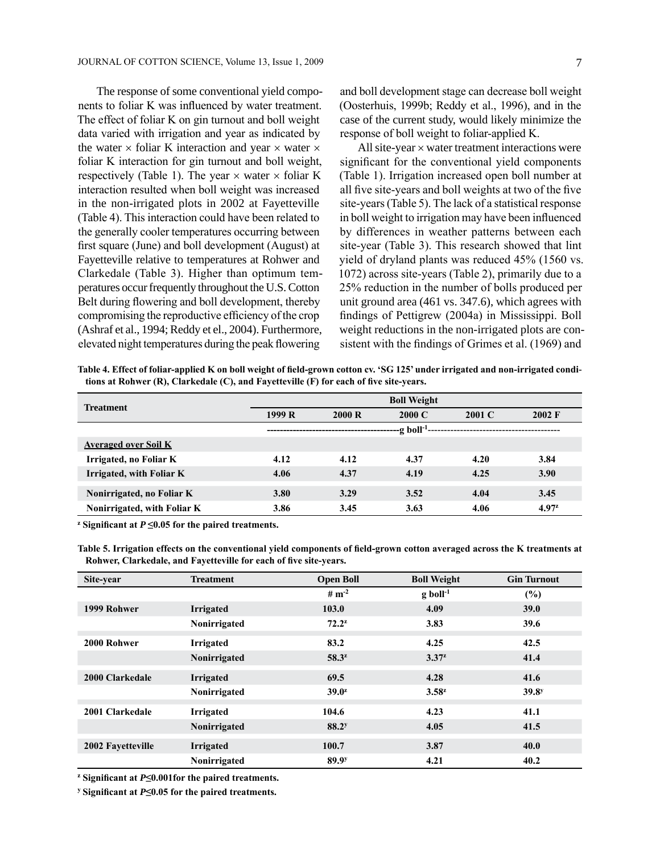The response of some conventional yield components to foliar K was influenced by water treatment. The effect of foliar K on gin turnout and boll weight data varied with irrigation and year as indicated by the water  $\times$  foliar K interaction and year  $\times$  water  $\times$ foliar K interaction for gin turnout and boll weight, respectively (Table 1). The year  $\times$  water  $\times$  foliar K interaction resulted when boll weight was increased in the non-irrigated plots in 2002 at Fayetteville (Table 4). This interaction could have been related to the generally cooler temperatures occurring between first square (June) and boll development (August) at Fayetteville relative to temperatures at Rohwer and Clarkedale (Table 3). Higher than optimum temperatures occur frequently throughout the U.S. Cotton Belt during flowering and boll development, thereby compromising the reproductive efficiency of the crop (Ashraf et al., 1994; Reddy et el., 2004). Furthermore, elevated night temperatures during the peak flowering

and boll development stage can decrease boll weight (Oosterhuis, 1999b; Reddy et al., 1996), and in the case of the current study, would likely minimize the response of boll weight to foliar-applied K.

All site-year × water treatment interactions were significant for the conventional yield components (Table 1). Irrigation increased open boll number at all five site-years and boll weights at two of the five site-years (Table 5). The lack of a statistical response in boll weight to irrigation may have been influenced by differences in weather patterns between each site-year (Table 3). This research showed that lint yield of dryland plants was reduced 45% (1560 vs. 1072) across site-years (Table 2), primarily due to a 25% reduction in the number of bolls produced per unit ground area (461 vs. 347.6), which agrees with findings of Pettigrew (2004a) in Mississippi. Boll weight reductions in the non-irrigated plots are consistent with the findings of Grimes et al. (1969) and

**Table 4. Effect of foliar-applied K on boll weight of field-grown cotton cv. 'SG 125' under irrigated and non-irrigated conditions at Rohwer (R), Clarkedale (C), and Fayetteville (F) for each of five site-years.**

| <b>Treatment</b>            |        |       | <b>Boll Weight</b>          |        |                  |
|-----------------------------|--------|-------|-----------------------------|--------|------------------|
|                             | 1999 R | 2000R | 2000 C                      | 2001 C | $2002 \text{ F}$ |
|                             |        |       | -g boll <sup>-1</sup> ----- |        |                  |
| <b>Averaged over Soil K</b> |        |       |                             |        |                  |
| Irrigated, no Foliar K      | 4.12   | 4.12  | 4.37                        | 4.20   | 3.84             |
| Irrigated, with Foliar K    | 4.06   | 4.37  | 4.19                        | 4.25   | 3.90             |
| Nonirrigated, no Foliar K   | 3.80   | 3.29  | 3.52                        | 4.04   | 3.45             |
| Nonirrigated, with Foliar K | 3.86   | 3.45  | 3.63                        | 4.06   | $4.97^{z}$       |

**<sup>z</sup> Significant at** *P* **≤0.05 for the paired treatments.**

**Table 5. Irrigation effects on the conventional yield components of field-grown cotton averaged across the K treatments at Rohwer, Clarkedale, and Fayetteville for each of five site-years.**

| Site-year         | <b>Treatment</b> | <b>Open Boll</b>  | <b>Boll Weight</b>     | <b>Gin Turnout</b> |
|-------------------|------------------|-------------------|------------------------|--------------------|
|                   |                  | # $m^{-2}$        | $g$ boll <sup>-1</sup> | $(\%)$             |
| 1999 Rohwer       | <b>Irrigated</b> | 103.0             | 4.09                   | 39.0               |
|                   | Nonirrigated     | $72.2^x$          | 3.83                   | 39.6               |
| 2000 Rohwer       | <b>Irrigated</b> | 83.2              | 4.25                   | 42.5               |
|                   | Nonirrigated     | $58.3^{z}$        | $3.37^{z}$             | 41.4               |
| 2000 Clarkedale   | Irrigated        | 69.5              | 4.28                   | 41.6               |
|                   | Nonirrigated     | $39.0^z$          | $3.58^{z}$             | 39.8 <sup>y</sup>  |
| 2001 Clarkedale   | <b>Irrigated</b> | 104.6             | 4.23                   | 41.1               |
|                   | Nonirrigated     | 88.2 <sup>y</sup> | 4.05                   | 41.5               |
| 2002 Fayetteville | <b>Irrigated</b> | 100.7             | 3.87                   | 40.0               |
|                   | Nonirrigated     | 89.9 <sup>y</sup> | 4.21                   | 40.2               |

**<sup>z</sup> Significant at** *P***≤0.001for the paired treatments.**

**<sup>y</sup> Significant at** *P***≤0.05 for the paired treatments.**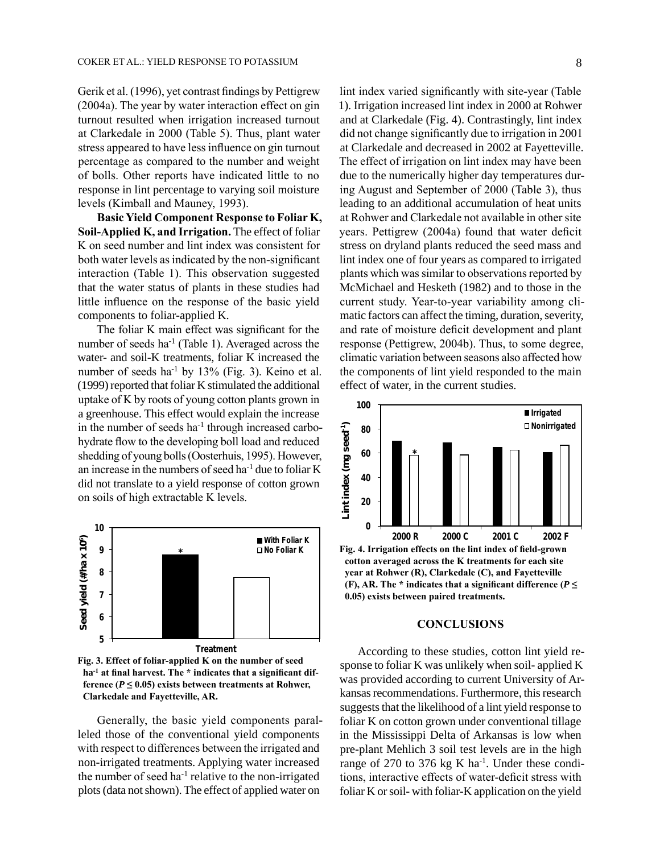Gerik et al. (1996), yet contrast findings by Pettigrew (2004a). The year by water interaction effect on gin turnout resulted when irrigation increased turnout at Clarkedale in 2000 (Table 5). Thus, plant water stress appeared to have less influence on gin turnout percentage as compared to the number and weight of bolls. Other reports have indicated little to no response in lint percentage to varying soil moisture levels (Kimball and Mauney, 1993).

**Basic Yield Component Response to Foliar K, Soil-Applied K, and Irrigation.** The effect of foliar K on seed number and lint index was consistent for both water levels as indicated by the non-significant interaction (Table 1). This observation suggested that the water status of plants in these studies had little influence on the response of the basic yield components to foliar-applied K.

The foliar K main effect was significant for the number of seeds ha-1 (Table 1). Averaged across the water- and soil-K treatments, foliar K increased the number of seeds ha<sup>-1</sup> by  $13\%$  (Fig. 3). Keino et al. (1999) reported that foliar K stimulated the additional uptake of K by roots of young cotton plants grown in a greenhouse. This effect would explain the increase in the number of seeds  $ha^{-1}$  through increased carbohydrate flow to the developing boll load and reduced shedding of young bolls (Oosterhuis, 1995). However, an increase in the numbers of seed ha-1 due to foliar K did not translate to a yield response of cotton grown on soils of high extractable K levels.



**Fig. 3. Effect of foliar-applied K on the number of seed ha-1 at final harvest. The \* indicates that a significant difference (** $P \leq 0.05$ **) exists between treatments at Rohwer, Clarkedale and Fayetteville, AR.**

Generally, the basic yield components paralleled those of the conventional yield components with respect to differences between the irrigated and non-irrigated treatments. Applying water increased the number of seed ha<sup>-1</sup> relative to the non-irrigated plots (data not shown). The effect of applied water on

lint index varied significantly with site-year (Table 1). Irrigation increased lint index in 2000 at Rohwer and at Clarkedale (Fig. 4). Contrastingly, lint index did not change significantly due to irrigation in 2001 at Clarkedale and decreased in 2002 at Fayetteville. The effect of irrigation on lint index may have been due to the numerically higher day temperatures during August and September of 2000 (Table 3), thus leading to an additional accumulation of heat units at Rohwer and Clarkedale not available in other site years. Pettigrew (2004a) found that water deficit stress on dryland plants reduced the seed mass and lint index one of four years as compared to irrigated plants which was similar to observations reported by McMichael and Hesketh (1982) and to those in the current study. Year-to-year variability among climatic factors can affect the timing, duration, severity, and rate of moisture deficit development and plant response (Pettigrew, 2004b). Thus, to some degree, climatic variation between seasons also affected how the components of lint yield responded to the main effect of water, in the current studies.



**year at Rohwer (R), Clarkedale (C), and Fayetteville (F), AR. The \* indicates that a significant difference (** $P \leq$ **0.05) exists between paired treatments.** 

#### **CONCLUSIONS**

According to these studies, cotton lint yield response to foliar K was unlikely when soil- applied K was provided according to current University of Arkansas recommendations. Furthermore, this research suggests that the likelihood of a lint yield response to foliar K on cotton grown under conventional tillage in the Mississippi Delta of Arkansas is low when pre-plant Mehlich 3 soil test levels are in the high range of 270 to 376 kg K ha $^{-1}$ . Under these conditions, interactive effects of water-deficit stress with foliar K or soil- with foliar-K application on the yield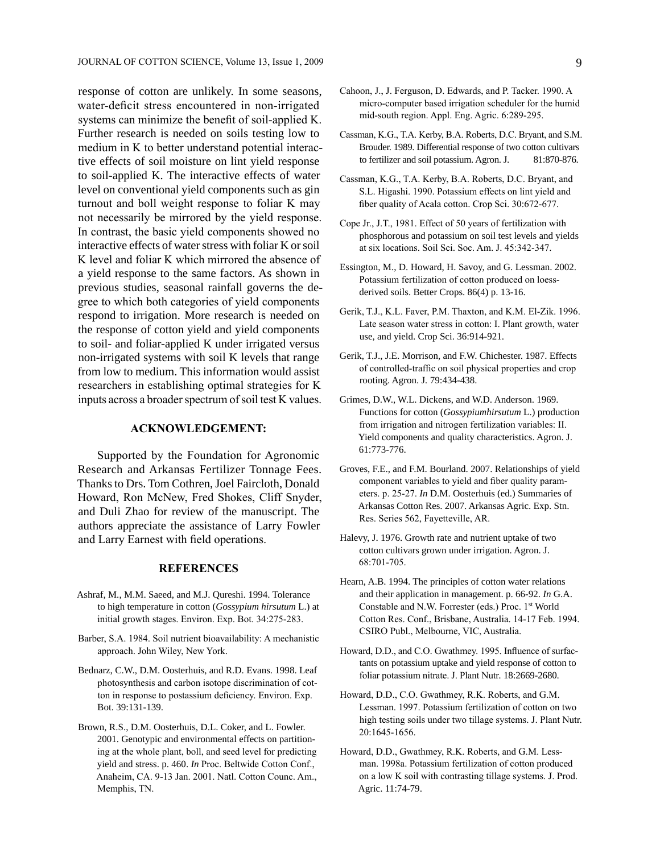response of cotton are unlikely. In some seasons, water-deficit stress encountered in non-irrigated systems can minimize the benefit of soil-applied K. Further research is needed on soils testing low to medium in K to better understand potential interactive effects of soil moisture on lint yield response to soil-applied K. The interactive effects of water level on conventional yield components such as gin turnout and boll weight response to foliar K may not necessarily be mirrored by the yield response. In contrast, the basic yield components showed no interactive effects of water stress with foliar K or soil K level and foliar K which mirrored the absence of a yield response to the same factors. As shown in previous studies, seasonal rainfall governs the degree to which both categories of yield components respond to irrigation. More research is needed on the response of cotton yield and yield components to soil- and foliar-applied K under irrigated versus non-irrigated systems with soil K levels that range from low to medium. This information would assist researchers in establishing optimal strategies for K inputs across a broader spectrum of soil test K values.

# **ACKNOWLEDGEMENT:**

Supported by the Foundation for Agronomic Research and Arkansas Fertilizer Tonnage Fees. Thanks to Drs. Tom Cothren, Joel Faircloth, Donald Howard, Ron McNew, Fred Shokes, Cliff Snyder, and Duli Zhao for review of the manuscript. The authors appreciate the assistance of Larry Fowler and Larry Earnest with field operations.

## **REFERENCES**

- Ashraf, M., M.M. Saeed, and M.J. Qureshi. 1994. Tolerance to high temperature in cotton (*Gossypium hirsutum* L.) at initial growth stages. Environ. Exp. Bot. 34:275-283.
- Barber, S.A. 1984. Soil nutrient bioavailability: A mechanistic approach. John Wiley, New York.
- Bednarz, C.W., D.M. Oosterhuis, and R.D. Evans. 1998. Leaf photosynthesis and carbon isotope discrimination of cotton in response to postassium deficiency. Environ. Exp. Bot. 39:131-139.
- Brown, R.S., D.M. Oosterhuis, D.L. Coker, and L. Fowler. 2001. Genotypic and environmental effects on partitioning at the whole plant, boll, and seed level for predicting yield and stress. p. 460. *In* Proc. Beltwide Cotton Conf., Anaheim, CA. 9-13 Jan. 2001. Natl. Cotton Counc. Am., Memphis, TN.
- Cahoon, J., J. Ferguson, D. Edwards, and P. Tacker. 1990. A micro-computer based irrigation scheduler for the humid mid-south region. Appl. Eng. Agric. 6:289-295.
- Cassman, K.G., T.A. Kerby, B.A. Roberts, D.C. Bryant, and S.M. Brouder. 1989. Differential response of two cotton cultivars to fertilizer and soil potassium. Agron. J. 81:870-876.
- Cassman, K.G., T.A. Kerby, B.A. Roberts, D.C. Bryant, and S.L. Higashi. 1990. Potassium effects on lint yield and fiber quality of Acala cotton. Crop Sci. 30:672-677.
- Cope Jr., J.T., 1981. Effect of 50 years of fertilization with phosphorous and potassium on soil test levels and yields at six locations. Soil Sci. Soc. Am. J. 45:342-347.
- Essington, M., D. Howard, H. Savoy, and G. Lessman. 2002. Potassium fertilization of cotton produced on loessderived soils. Better Crops. 86(4) p. 13-16.
- Gerik, T.J., K.L. Faver, P.M. Thaxton, and K.M. El-Zik. 1996. Late season water stress in cotton: I. Plant growth, water use, and yield. Crop Sci. 36:914-921.
- Gerik, T.J., J.E. Morrison, and F.W. Chichester. 1987. Effects of controlled-traffic on soil physical properties and crop rooting. Agron. J*.* 79:434-438.
- Grimes, D.W., W.L. Dickens, and W.D. Anderson. 1969. Functions for cotton (*Gossypiumhirsutum* L.) production from irrigation and nitrogen fertilization variables: II. Yield components and quality characteristics. Agron. J. 61:773-776.
- Groves, F.E., and F.M. Bourland. 2007. Relationships of yield component variables to yield and fiber quality parameters. p. 25-27. *In* D.M. Oosterhuis (ed.) Summaries of Arkansas Cotton Res. 2007. Arkansas Agric. Exp. Stn. Res. Series 562, Fayetteville, AR.
- Halevy, J. 1976. Growth rate and nutrient uptake of two cotton cultivars grown under irrigation. Agron. J. 68:701‑705.
- Hearn, A.B. 1994. The principles of cotton water relations and their application in management. p. 66-92. *In* G.A. Constable and N.W. Forrester (eds.) Proc. 1st World Cotton Res. Conf., Brisbane, Australia. 14-17 Feb. 1994. CSIRO Publ., Melbourne, VIC, Australia.
- Howard, D.D., and C.O. Gwathmey. 1995. Influence of surfactants on potassium uptake and yield response of cotton to foliar potassium nitrate. J. Plant Nutr*.* 18:2669-2680.
- Howard, D.D., C.O. Gwathmey, R.K. Roberts, and G.M. Lessman. 1997. Potassium fertilization of cotton on two high testing soils under two tillage systems. J. Plant Nutr. 20:1645-1656.
- Howard, D.D., Gwathmey, R.K. Roberts, and G.M. Lessman. 1998a. Potassium fertilization of cotton produced on a low K soil with contrasting tillage systems. J. Prod. Agric. 11:74-79.